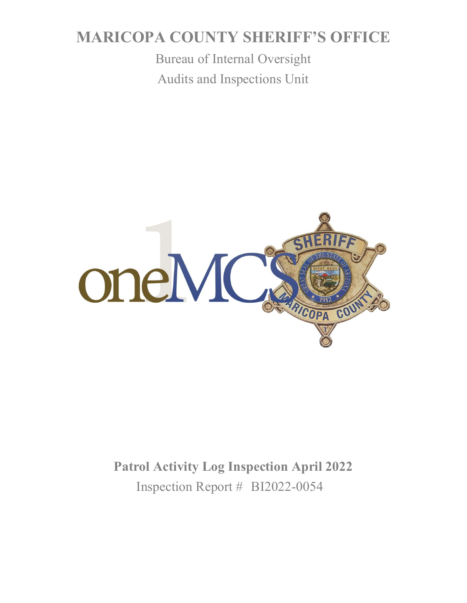# **MARICOPA COUNTY SHERIFF'S OFFICE**

Bureau of Internal Oversight Audits and Inspections Unit



**Patrol Activity Log Inspection April 2022** Inspection Report # BI2022-0054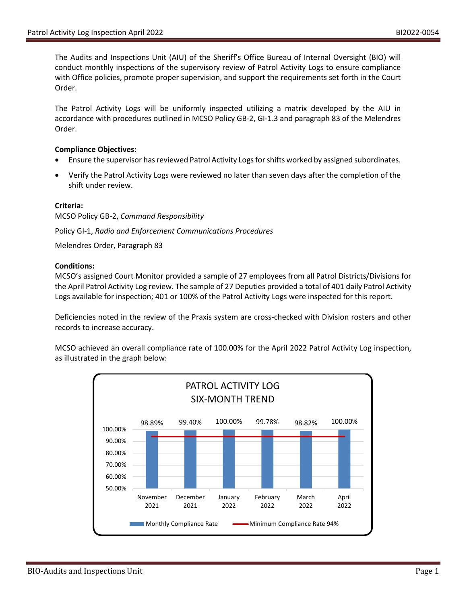The Audits and Inspections Unit (AIU) of the Sheriff's Office Bureau of Internal Oversight (BIO) will conduct monthly inspections of the supervisory review of Patrol Activity Logs to ensure compliance with Office policies, promote proper supervision, and support the requirements set forth in the Court Order.

The Patrol Activity Logs will be uniformly inspected utilizing a matrix developed by the AIU in accordance with procedures outlined in MCSO Policy GB-2, GI-1.3 and paragraph 83 of the Melendres Order.

### **Compliance Objectives:**

- Ensure the supervisor has reviewed Patrol Activity Logs for shifts worked by assigned subordinates.
- Verify the Patrol Activity Logs were reviewed no later than seven days after the completion of the shift under review.

## **Criteria:**

MCSO Policy GB-2, *Command Responsibility*

Policy GI-1, *Radio and Enforcement Communications Procedures*

Melendres Order, Paragraph 83

### **Conditions:**

MCSO's assigned Court Monitor provided a sample of 27 employees from all Patrol Districts/Divisions for the April Patrol Activity Log review. The sample of 27 Deputies provided a total of 401 daily Patrol Activity Logs available for inspection; 401 or 100% of the Patrol Activity Logs were inspected for this report.

Deficiencies noted in the review of the Praxis system are cross-checked with Division rosters and other records to increase accuracy.

MCSO achieved an overall compliance rate of 100.00% for the April 2022 Patrol Activity Log inspection, as illustrated in the graph below: